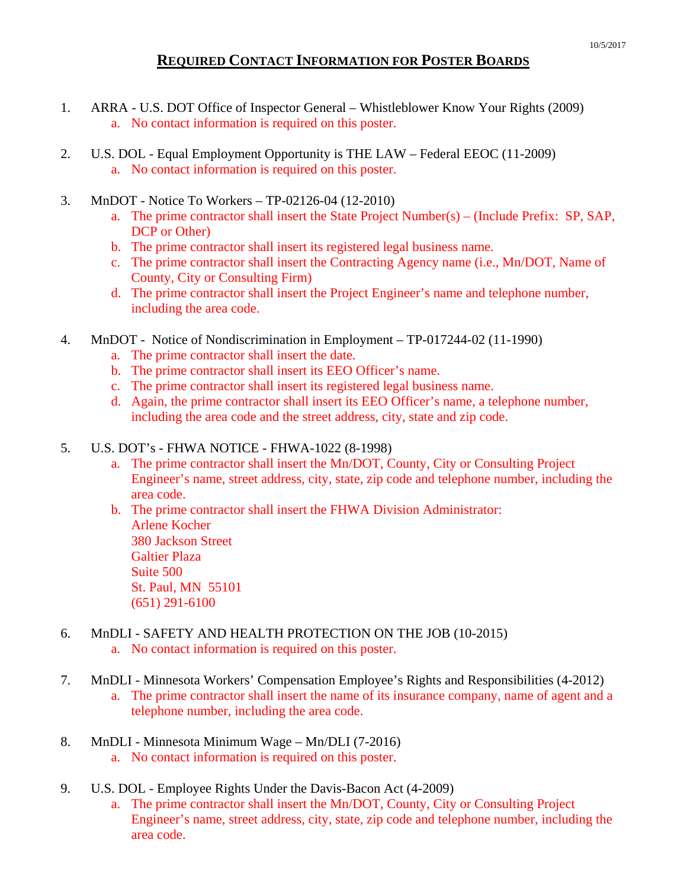## **REQUIRED CONTACT INFORMATION FOR POSTER BOARDS**

- 1. ARRA U.S. DOT Office of Inspector General Whistleblower Know Your Rights (2009) a. No contact information is required on this poster.
- 2. U.S. DOL Equal Employment Opportunity is THE LAW Federal EEOC (11-2009) a. No contact information is required on this poster.
- 3. MnDOT Notice To Workers TP-02126-04 (12-2010)
	- a. The prime contractor shall insert the State Project Number(s) (Include Prefix: SP, SAP, DCP or Other)
	- b. The prime contractor shall insert its registered legal business name.
	- c. The prime contractor shall insert the Contracting Agency name (i.e., Mn/DOT, Name of County, City or Consulting Firm)
	- d. The prime contractor shall insert the Project Engineer's name and telephone number, including the area code.
- 4. MnDOT Notice of Nondiscrimination in Employment TP-017244-02 (11-1990)
	- a. The prime contractor shall insert the date.
	- b. The prime contractor shall insert its EEO Officer's name.
	- c. The prime contractor shall insert its registered legal business name.
	- d. Again, the prime contractor shall insert its EEO Officer's name, a telephone number, including the area code and the street address, city, state and zip code.

## 5. U.S. DOT's - FHWA NOTICE - FHWA-1022 (8-1998)

a. The prime contractor shall insert the Mn/DOT, County, City or Consulting Project Engineer's name, street address, city, state, zip code and telephone number, including the area code.

b. The prime contractor shall insert the FHWA Division Administrator: Arlene Kocher 380 Jackson Street Galtier Plaza Suite 500 St. Paul, MN 55101 (651) 291-6100

## 6. MnDLI - SAFETY AND HEALTH PROTECTION ON THE JOB (10-2015)

- a. No contact information is required on this poster.
- 7. MnDLI Minnesota Workers' Compensation Employee's Rights and Responsibilities (4-2012)
	- a. The prime contractor shall insert the name of its insurance company, name of agent and a telephone number, including the area code.
- 8. MnDLI Minnesota Minimum Wage Mn/DLI (7-2016) a. No contact information is required on this poster.
- 9. U.S. DOL Employee Rights Under the Davis-Bacon Act (4-2009)
	- a. The prime contractor shall insert the Mn/DOT, County, City or Consulting Project Engineer's name, street address, city, state, zip code and telephone number, including the area code.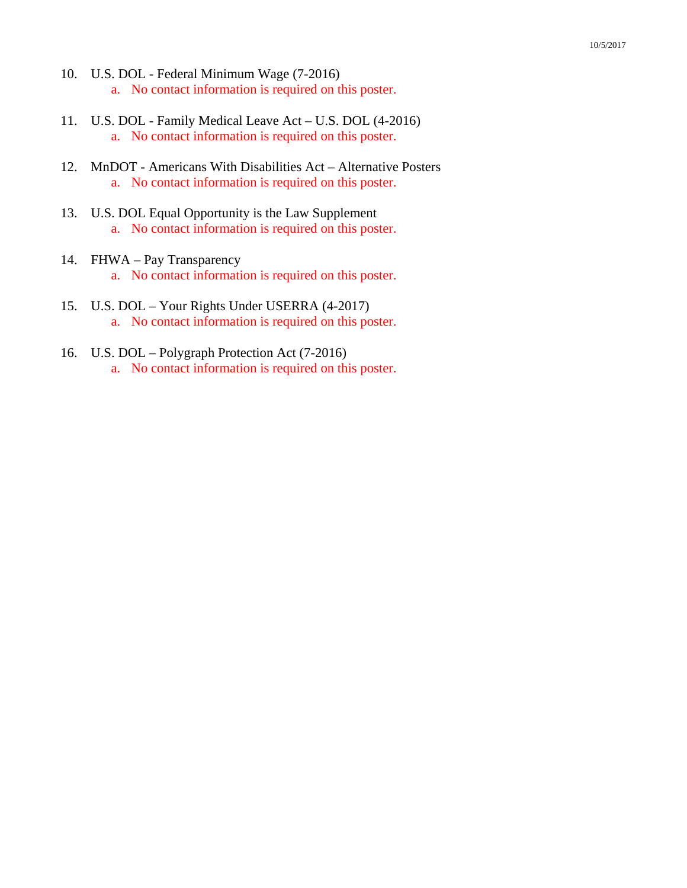- 10. U.S. DOL Federal Minimum Wage (7-2016) a. No contact information is required on this poster.
- 11. U.S. DOL Family Medical Leave Act U.S. DOL (4-2016) a. No contact information is required on this poster.
- 12. MnDOT Americans With Disabilities Act Alternative Posters a. No contact information is required on this poster.
- 13. U.S. DOL Equal Opportunity is the Law Supplement a. No contact information is required on this poster.
- 14. FHWA Pay Transparency a. No contact information is required on this poster.
- 15. U.S. DOL Your Rights Under USERRA (4-2017) a. No contact information is required on this poster.
- 16. U.S. DOL Polygraph Protection Act (7-2016) a. No contact information is required on this poster.